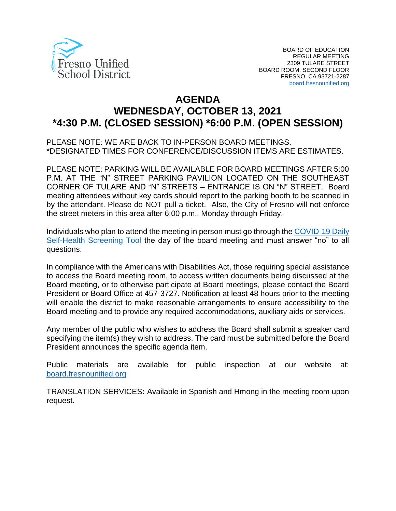

# **AGENDA WEDNESDAY, OCTOBER 13, 2021 \*4:30 P.M. (CLOSED SESSION) \*6:00 P.M. (OPEN SESSION)**

PLEASE NOTE: WE ARE BACK TO IN-PERSON BOARD MEETINGS. \*DESIGNATED TIMES FOR CONFERENCE/DISCUSSION ITEMS ARE ESTIMATES.

PLEASE NOTE: PARKING WILL BE AVAILABLE FOR BOARD MEETINGS AFTER 5:00 P.M. AT THE "N" STREET PARKING PAVILION LOCATED ON THE SOUTHEAST CORNER OF TULARE AND "N" STREETS – ENTRANCE IS ON "N" STREET. Board meeting attendees without key cards should report to the parking booth to be scanned in by the attendant. Please do NOT pull a ticket. Also, the City of Fresno will not enforce the street meters in this area after 6:00 p.m., Monday through Friday.

Individuals who plan to attend the meeting in person must go through the [COVID-19 Daily](https://www.fresnounified.org/covid19/)  [Self-Health Screening Tool](https://www.fresnounified.org/covid19/) the day of the board meeting and must answer "no" to all questions.

In compliance with the Americans with Disabilities Act, those requiring special assistance to access the Board meeting room, to access written documents being discussed at the Board meeting, or to otherwise participate at Board meetings, please contact the Board President or Board Office at 457-3727. Notification at least 48 hours prior to the meeting will enable the district to make reasonable arrangements to ensure accessibility to the Board meeting and to provide any required accommodations, auxiliary aids or services.

Any member of the public who wishes to address the Board shall submit a speaker card specifying the item(s) they wish to address. The card must be submitted before the Board President announces the specific agenda item.

Public materials are available for public inspection at our website at: [board.fresnounified.org](https://board.fresnounified.org/)

TRANSLATION SERVICES**:** Available in Spanish and Hmong in the meeting room upon request.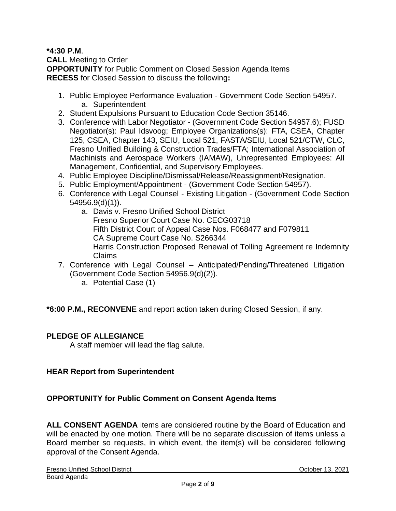## **\*4:30 P.M**.

**CALL** Meeting to Order **OPPORTUNITY** for Public Comment on Closed Session Agenda Items **RECESS** for Closed Session to discuss the following**:**

- 1. Public Employee Performance Evaluation Government Code Section 54957. a. Superintendent
- 2. Student Expulsions Pursuant to Education Code Section 35146.
- 3. Conference with Labor Negotiator (Government Code Section 54957.6); FUSD Negotiator(s): Paul Idsvoog; Employee Organizations(s): FTA, CSEA, Chapter 125, CSEA, Chapter 143, SEIU, Local 521, FASTA/SEIU, Local 521/CTW, CLC, Fresno Unified Building & Construction Trades/FTA; International Association of Machinists and Aerospace Workers (IAMAW), Unrepresented Employees: All Management, Confidential, and Supervisory Employees.
- 4. Public Employee Discipline/Dismissal/Release/Reassignment/Resignation.
- 5. Public Employment/Appointment (Government Code Section 54957).
- 6. Conference with Legal Counsel Existing Litigation (Government Code Section 54956.9(d)(1)).
	- a. Davis v. Fresno Unified School District Fresno Superior Court Case No. CECG03718 Fifth District Court of Appeal Case Nos. F068477 and F079811 CA Supreme Court Case No. S266344 Harris Construction Proposed Renewal of Tolling Agreement re Indemnity Claims
- 7. Conference with Legal Counsel Anticipated/Pending/Threatened Litigation (Government Code Section 54956.9(d)(2)).
	- a. Potential Case (1)

**\*6:00 P.M., RECONVENE** and report action taken during Closed Session, if any.

#### **PLEDGE OF ALLEGIANCE**

A staff member will lead the flag salute.

# **HEAR Report from Superintendent**

# **OPPORTUNITY for Public Comment on Consent Agenda Items**

**ALL CONSENT AGENDA** items are considered routine by the Board of Education and will be enacted by one motion. There will be no separate discussion of items unless a Board member so requests, in which event, the item(s) will be considered following approval of the Consent Agenda.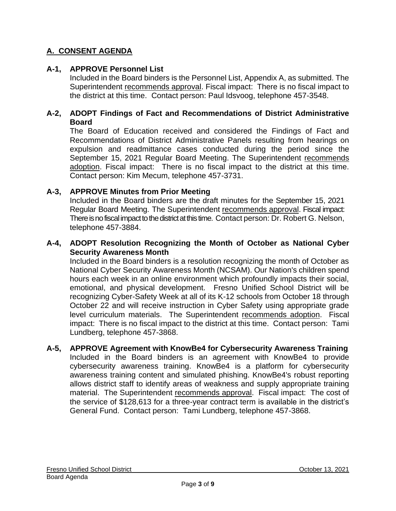# **A. CONSENT AGENDA**

# **A-1, APPROVE Personnel List**

Included in the Board binders is the Personnel List, Appendix A, as submitted. The Superintendent recommends approval. Fiscal impact: There is no fiscal impact to the district at this time. Contact person: Paul Idsvoog, telephone 457-3548.

## **A-2, ADOPT Findings of Fact and Recommendations of District Administrative Board**

The Board of Education received and considered the Findings of Fact and Recommendations of District Administrative Panels resulting from hearings on expulsion and readmittance cases conducted during the period since the September 15, 2021 Regular Board Meeting. The Superintendent recommends adoption. Fiscal impact: There is no fiscal impact to the district at this time. Contact person: Kim Mecum, telephone 457-3731.

# **A-3, APPROVE Minutes from Prior Meeting**

Included in the Board binders are the draft minutes for the September 15, 2021 Regular Board Meeting. The Superintendent recommends approval. Fiscal impact: There is no fiscal impact to the district at this time. Contact person: Dr. Robert G. Nelson, telephone 457-3884.

## **A-4, ADOPT Resolution Recognizing the Month of October as National Cyber Security Awareness Month**

Included in the Board binders is a resolution recognizing the month of October as National Cyber Security Awareness Month (NCSAM). Our Nation's children spend hours each week in an online environment which profoundly impacts their social, emotional, and physical development. Fresno Unified School District will be recognizing Cyber-Safety Week at all of its K-12 schools from October 18 through October 22 and will receive instruction in Cyber Safety using appropriate grade level curriculum materials. The Superintendent recommends adoption. Fiscal impact: There is no fiscal impact to the district at this time. Contact person: Tami Lundberg, telephone 457-3868.

#### **A-5, APPROVE Agreement with KnowBe4 for Cybersecurity Awareness Training** Included in the Board binders is an agreement with KnowBe4 to provide cybersecurity awareness training. KnowBe4 is a platform for cybersecurity awareness training content and simulated phishing. KnowBe4's robust reporting allows district staff to identify areas of weakness and supply appropriate training material. The Superintendent recommends approval. Fiscal impact: The cost of the service of \$128,613 for a three-year contract term is available in the district's General Fund. Contact person: Tami Lundberg, telephone 457-3868.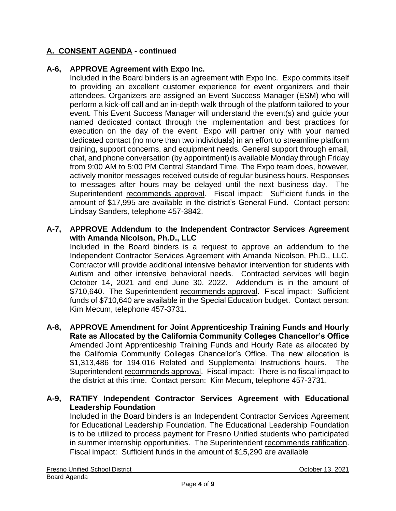# **A. CONSENT AGENDA - continued**

## **A-6, APPROVE Agreement with Expo Inc.**

Included in the Board binders is an agreement with Expo Inc. Expo commits itself to providing an excellent customer experience for event organizers and their attendees. Organizers are assigned an Event Success Manager (ESM) who will perform a kick-off call and an in-depth walk through of the platform tailored to your event. This Event Success Manager will understand the event(s) and guide your named dedicated contact through the implementation and best practices for execution on the day of the event. Expo will partner only with your named dedicated contact (no more than two individuals) in an effort to streamline platform training, support concerns, and equipment needs. General support through email, chat, and phone conversation (by appointment) is available Monday through Friday from 9:00 AM to 5:00 PM Central Standard Time. The Expo team does, however, actively monitor messages received outside of regular business hours. Responses to messages after hours may be delayed until the next business day. The Superintendent recommends approval. Fiscal impact: Sufficient funds in the amount of \$17,995 are available in the district's General Fund. Contact person: Lindsay Sanders, telephone 457-3842.

## **A-7, APPROVE Addendum to the Independent Contractor Services Agreement with Amanda Nicolson, Ph.D., LLC**

Included in the Board binders is a request to approve an addendum to the Independent Contractor Services Agreement with Amanda Nicolson, Ph.D., LLC. Contractor will provide additional intensive behavior intervention for students with Autism and other intensive behavioral needs. Contracted services will begin October 14, 2021 and end June 30, 2022. Addendum is in the amount of \$710,640. The Superintendent recommends approval. Fiscal impact: Sufficient funds of \$710,640 are available in the Special Education budget. Contact person: Kim Mecum, telephone 457-3731.

**A-8, APPROVE Amendment for Joint Apprenticeship Training Funds and Hourly Rate as Allocated by the California Community Colleges Chancellor's Office** Amended Joint Apprenticeship Training Funds and Hourly Rate as allocated by the California Community Colleges Chancellor's Office. The new allocation is \$1,313,486 for 194,016 Related and Supplemental Instructions hours. Superintendent recommends approval. Fiscal impact: There is no fiscal impact to the district at this time. Contact person: Kim Mecum, telephone 457-3731.

## **A-9, RATIFY Independent Contractor Services Agreement with Educational Leadership Foundation**

Included in the Board binders is an Independent Contractor Services Agreement for Educational Leadership Foundation. The Educational Leadership Foundation is to be utilized to process payment for Fresno Unified students who participated in summer internship opportunities. The Superintendent recommends ratification. Fiscal impact: Sufficient funds in the amount of \$15,290 are available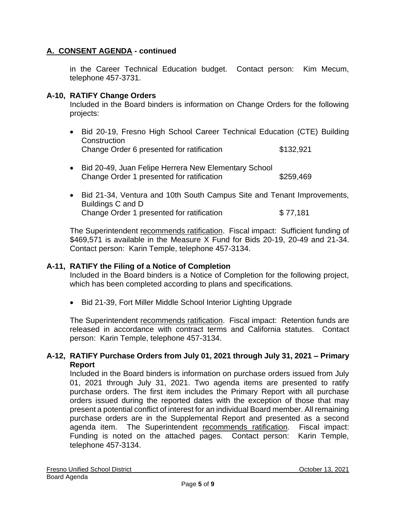# **A. CONSENT AGENDA - continued**

in the Career Technical Education budget. Contact person: Kim Mecum, telephone 457-3731.

## **A-10, RATIFY Change Orders**

Included in the Board binders is information on Change Orders for the following projects:

- Bid 20-19, Fresno High School Career Technical Education (CTE) Building **Construction** Change Order 6 presented for ratification \$132,921
- Bid 20-49, Juan Felipe Herrera New Elementary School Change Order 1 presented for ratification \$259,469
- Bid 21-34, Ventura and 10th South Campus Site and Tenant Improvements, Buildings C and D Change Order 1 presented for ratification  $$77,181$

The Superintendent recommends ratification. Fiscal impact: Sufficient funding of \$469,571 is available in the Measure X Fund for Bids 20-19, 20-49 and 21-34. Contact person: Karin Temple, telephone 457-3134.

#### **A-11, RATIFY the Filing of a Notice of Completion**

Included in the Board binders is a Notice of Completion for the following project, which has been completed according to plans and specifications.

• Bid 21-39, Fort Miller Middle School Interior Lighting Upgrade

The Superintendent recommends ratification. Fiscal impact: Retention funds are released in accordance with contract terms and California statutes. Contact person: Karin Temple, telephone 457-3134.

## **A-12, RATIFY Purchase Orders from July 01, 2021 through July 31, 2021 – Primary Report**

Included in the Board binders is information on purchase orders issued from July 01, 2021 through July 31, 2021. Two agenda items are presented to ratify purchase orders. The first item includes the Primary Report with all purchase orders issued during the reported dates with the exception of those that may present a potential conflict of interest for an individual Board member. All remaining purchase orders are in the Supplemental Report and presented as a second agenda item. The Superintendent recommends ratification. Fiscal impact: Funding is noted on the attached pages. Contact person: Karin Temple, telephone 457-3134.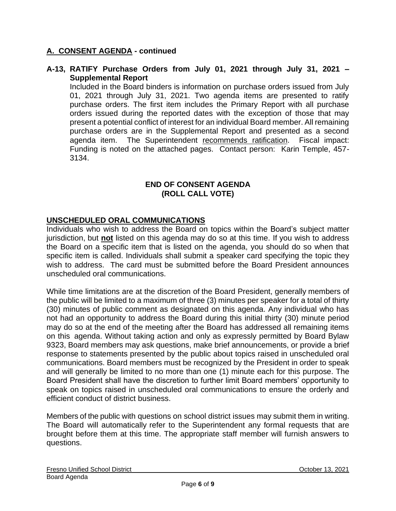# **A. CONSENT AGENDA - continued**

## **A-13, RATIFY Purchase Orders from July 01, 2021 through July 31, 2021 – Supplemental Report**

Included in the Board binders is information on purchase orders issued from July 01, 2021 through July 31, 2021. Two agenda items are presented to ratify purchase orders. The first item includes the Primary Report with all purchase orders issued during the reported dates with the exception of those that may present a potential conflict of interest for an individual Board member. All remaining purchase orders are in the Supplemental Report and presented as a second agenda item. The Superintendent recommends ratification. Fiscal impact: Funding is noted on the attached pages. Contact person: Karin Temple, 457- 3134.

# **END OF CONSENT AGENDA (ROLL CALL VOTE)**

# **UNSCHEDULED ORAL COMMUNICATIONS**

Individuals who wish to address the Board on topics within the Board's subject matter jurisdiction, but **not** listed on this agenda may do so at this time. If you wish to address the Board on a specific item that is listed on the agenda, you should do so when that specific item is called. Individuals shall submit a speaker card specifying the topic they wish to address. The card must be submitted before the Board President announces unscheduled oral communications.

While time limitations are at the discretion of the Board President, generally members of the public will be limited to a maximum of three (3) minutes per speaker for a total of thirty (30) minutes of public comment as designated on this agenda. Any individual who has not had an opportunity to address the Board during this initial thirty (30) minute period may do so at the end of the meeting after the Board has addressed all remaining items on this agenda. Without taking action and only as expressly permitted by Board Bylaw 9323, Board members may ask questions, make brief announcements, or provide a brief response to statements presented by the public about topics raised in unscheduled oral communications. Board members must be recognized by the President in order to speak and will generally be limited to no more than one (1) minute each for this purpose. The Board President shall have the discretion to further limit Board members' opportunity to speak on topics raised in unscheduled oral communications to ensure the orderly and efficient conduct of district business.

Members of the public with questions on school district issues may submit them in writing. The Board will automatically refer to the Superintendent any formal requests that are brought before them at this time. The appropriate staff member will furnish answers to questions.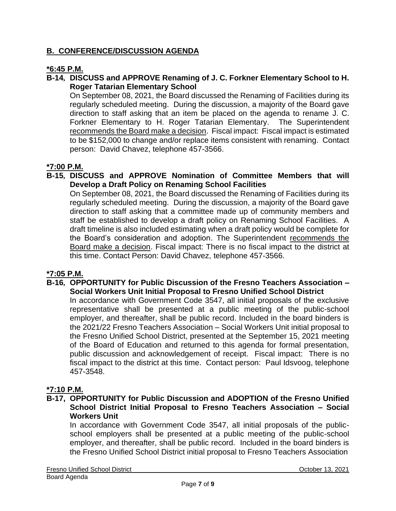# **B. CONFERENCE/DISCUSSION AGENDA**

# **\*6:45 P.M.**

## **B-14, DISCUSS and APPROVE Renaming of J. C. Forkner Elementary School to H. Roger Tatarian Elementary School**

On September 08, 2021, the Board discussed the Renaming of Facilities during its regularly scheduled meeting. During the discussion, a majority of the Board gave direction to staff asking that an item be placed on the agenda to rename J. C. Forkner Elementary to H. Roger Tatarian Elementary. The Superintendent recommends the Board make a decision. Fiscal impact: Fiscal impact is estimated to be \$152,000 to change and/or replace items consistent with renaming. Contact person: David Chavez, telephone 457-3566.

## **\*7:00 P.M.**

#### **B-15, DISCUSS and APPROVE Nomination of Committee Members that will Develop a Draft Policy on Renaming School Facilities**

On September 08, 2021, the Board discussed the Renaming of Facilities during its regularly scheduled meeting. During the discussion, a majority of the Board gave direction to staff asking that a committee made up of community members and staff be established to develop a draft policy on Renaming School Facilities. A draft timeline is also included estimating when a draft policy would be complete for the Board's consideration and adoption. The Superintendent recommends the Board make a decision. Fiscal impact: There is no fiscal impact to the district at this time. Contact Person: David Chavez, telephone 457-3566.

#### **\*7:05 P.M.**

#### **B-16, OPPORTUNITY for Public Discussion of the Fresno Teachers Association – Social Workers Unit Initial Proposal to Fresno Unified School District**

In accordance with Government Code 3547, all initial proposals of the exclusive representative shall be presented at a public meeting of the public-school employer, and thereafter, shall be public record. Included in the board binders is the 2021/22 Fresno Teachers Association – Social Workers Unit initial proposal to the Fresno Unified School District, presented at the September 15, 2021 meeting of the Board of Education and returned to this agenda for formal presentation, public discussion and acknowledgement of receipt. Fiscal impact: There is no fiscal impact to the district at this time. Contact person: Paul Idsvoog, telephone 457-3548.

#### **\*7:10 P.M.**

## **B-17, OPPORTUNITY for Public Discussion and ADOPTION of the Fresno Unified School District Initial Proposal to Fresno Teachers Association – Social Workers Unit**

In accordance with Government Code 3547, all initial proposals of the publicschool employers shall be presented at a public meeting of the public-school employer, and thereafter, shall be public record. Included in the board binders is the Fresno Unified School District initial proposal to Fresno Teachers Association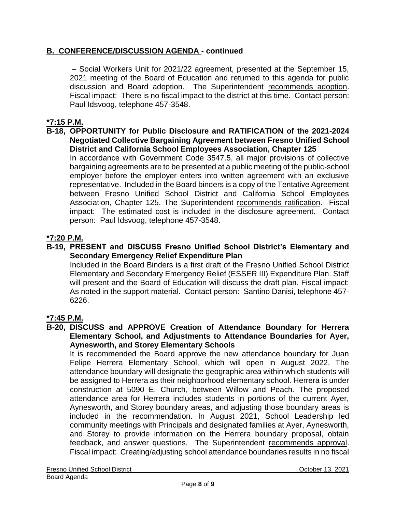# **B. CONFERENCE/DISCUSSION AGENDA - continued**

– Social Workers Unit for 2021/22 agreement, presented at the September 15, 2021 meeting of the Board of Education and returned to this agenda for public discussion and Board adoption. The Superintendent recommends adoption. Fiscal impact: There is no fiscal impact to the district at this time. Contact person: Paul Idsvoog, telephone 457-3548.

# **\*7:15 P.M.**

#### **B-18, OPPORTUNITY for Public Disclosure and RATIFICATION of the 2021-2024 Negotiated Collective Bargaining Agreement between Fresno Unified School District and California School Employees Association, Chapter 125**

In accordance with Government Code 3547.5, all major provisions of collective bargaining agreements are to be presented at a public meeting of the public-school employer before the employer enters into written agreement with an exclusive representative. Included in the Board binders is a copy of the Tentative Agreement between Fresno Unified School District and California School Employees Association, Chapter 125. The Superintendent recommends ratification. Fiscal impact: The estimated cost is included in the disclosure agreement. Contact person: Paul Idsvoog, telephone 457-3548.

## **\*7:20 P.M.**

#### **B-19, PRESENT and DISCUSS Fresno Unified School District's Elementary and Secondary Emergency Relief Expenditure Plan**

Included in the Board Binders is a first draft of the Fresno Unified School District Elementary and Secondary Emergency Relief (ESSER III) Expenditure Plan. Staff will present and the Board of Education will discuss the draft plan. Fiscal impact: As noted in the support material. Contact person: Santino Danisi, telephone 457- 6226.

# **\*7:45 P.M.**

#### **B-20, DISCUSS and APPROVE Creation of Attendance Boundary for Herrera Elementary School, and Adjustments to Attendance Boundaries for Ayer, Aynesworth, and Storey Elementary Schools**

It is recommended the Board approve the new attendance boundary for Juan Felipe Herrera Elementary School, which will open in August 2022. The attendance boundary will designate the geographic area within which students will be assigned to Herrera as their neighborhood elementary school. Herrera is under construction at 5090 E. Church, between Willow and Peach. The proposed attendance area for Herrera includes students in portions of the current Ayer, Aynesworth, and Storey boundary areas, and adjusting those boundary areas is included in the recommendation. In August 2021, School Leadership led community meetings with Principals and designated families at Ayer, Aynesworth, and Storey to provide information on the Herrera boundary proposal, obtain feedback, and answer questions. The Superintendent recommends approval. Fiscal impact: Creating/adjusting school attendance boundaries results in no fiscal